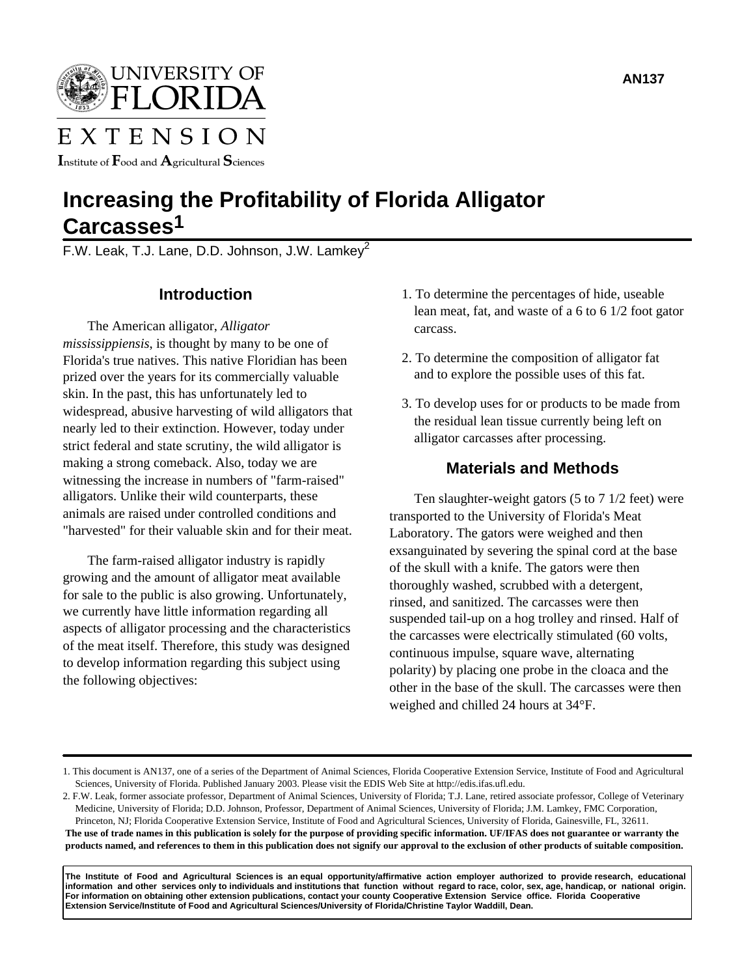

# EXTENSION

Institute of  $\rm F$ ood and  $\rm A$ gricultural  $\rm S$ ciences

# **Increasing the Profitability of Florida Alligator Carcasses1**

F.W. Leak, T.J. Lane, D.D. Johnson, J.W. Lamkey<sup>2</sup>

# **Introduction**

The American alligator, *Alligator mississippiensis*, is thought by many to be one of Florida's true natives. This native Floridian has been prized over the years for its commercially valuable skin. In the past, this has unfortunately led to widespread, abusive harvesting of wild alligators that nearly led to their extinction. However, today under strict federal and state scrutiny, the wild alligator is making a strong comeback. Also, today we are witnessing the increase in numbers of "farm-raised" alligators. Unlike their wild counterparts, these animals are raised under controlled conditions and "harvested" for their valuable skin and for their meat.

The farm-raised alligator industry is rapidly growing and the amount of alligator meat available for sale to the public is also growing. Unfortunately, we currently have little information regarding all aspects of alligator processing and the characteristics of the meat itself. Therefore, this study was designed to develop information regarding this subject using the following objectives:

- 1. To determine the percentages of hide, useable lean meat, fat, and waste of a 6 to 6 1/2 foot gator carcass.
- 2. To determine the composition of alligator fat and to explore the possible uses of this fat.
- 3. To develop uses for or products to be made from the residual lean tissue currently being left on alligator carcasses after processing.

### **Materials and Methods**

Ten slaughter-weight gators (5 to 7 1/2 feet) were transported to the University of Florida's Meat Laboratory. The gators were weighed and then exsanguinated by severing the spinal cord at the base of the skull with a knife. The gators were then thoroughly washed, scrubbed with a detergent, rinsed, and sanitized. The carcasses were then suspended tail-up on a hog trolley and rinsed. Half of the carcasses were electrically stimulated (60 volts, continuous impulse, square wave, alternating polarity) by placing one probe in the cloaca and the other in the base of the skull. The carcasses were then weighed and chilled 24 hours at 34°F.

2. F.W. Leak, former associate professor, Department of Animal Sciences, University of Florida; T.J. Lane, retired associate professor, College of Veterinary Medicine, University of Florida; D.D. Johnson, Professor, Department of Animal Sciences, University of Florida; J.M. Lamkey, FMC Corporation,

Princeton, NJ; Florida Cooperative Extension Service, Institute of Food and Agricultural Sciences, University of Florida, Gainesville, FL, 32611. **The use of trade names in this publication is solely for the purpose of providing specific information. UF/IFAS does not guarantee or warranty the products named, and references to them in this publication does not signify our approval to the exclusion of other products of suitable composition.** 

**The Institute of Food and Agricultural Sciences is an equal opportunity/affirmative action employer authorized to provide research, educational information and other services only to individuals and institutions that function without regard to race, color, sex, age, handicap, or national origin. For information on obtaining other extension publications, contact your county Cooperative Extension Service office. Florida Cooperative Extension Service/Institute of Food and Agricultural Sciences/University of Florida/Christine Taylor Waddill, Dean.**

<sup>1.</sup> This document is AN137, one of a series of the Department of Animal Sciences, Florida Cooperative Extension Service, Institute of Food and Agricultural Sciences, University of Florida. Published January 2003. Please visit the EDIS Web Site at http://edis.ifas.ufl.edu.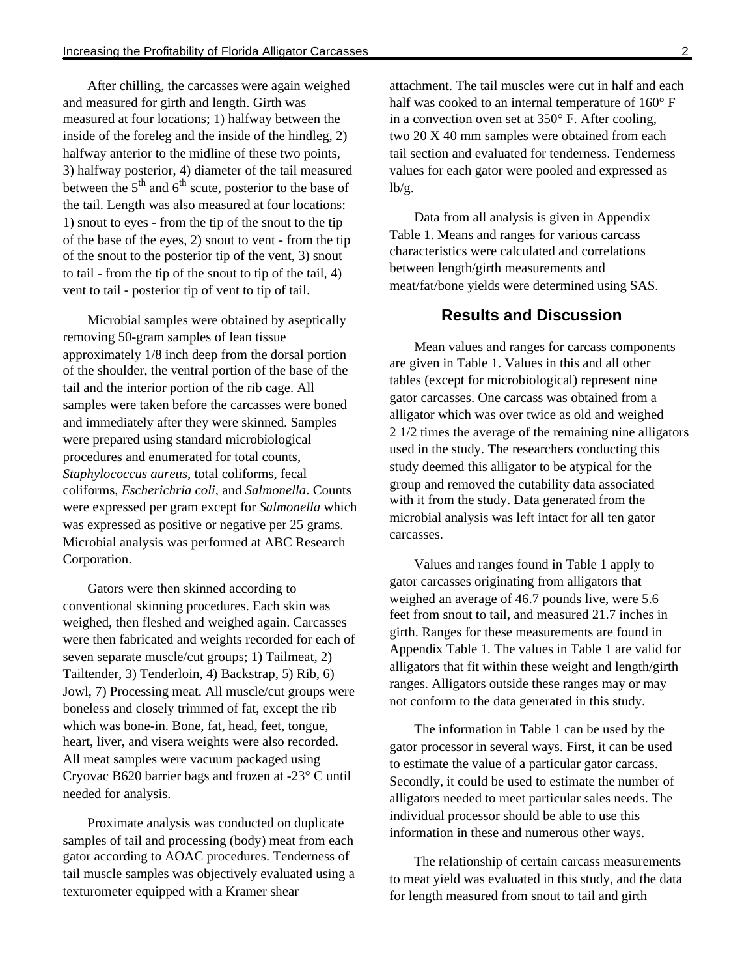After chilling, the carcasses were again weighed and measured for girth and length. Girth was measured at four locations; 1) halfway between the inside of the foreleg and the inside of the hindleg, 2) halfway anterior to the midline of these two points, 3) halfway posterior, 4) diameter of the tail measured between the  $5<sup>th</sup>$  and  $6<sup>th</sup>$  scute, posterior to the base of the tail. Length was also measured at four locations: 1) snout to eyes - from the tip of the snout to the tip of the base of the eyes, 2) snout to vent - from the tip of the snout to the posterior tip of the vent, 3) snout to tail - from the tip of the snout to tip of the tail, 4) vent to tail - posterior tip of vent to tip of tail.

Microbial samples were obtained by aseptically removing 50-gram samples of lean tissue approximately 1/8 inch deep from the dorsal portion of the shoulder, the ventral portion of the base of the tail and the interior portion of the rib cage. All samples were taken before the carcasses were boned and immediately after they were skinned. Samples were prepared using standard microbiological procedures and enumerated for total counts, *Staphylococcus aureus*, total coliforms, fecal coliforms, *Escherichria coli*, and *Salmonella*. Counts were expressed per gram except for *Salmonella* which was expressed as positive or negative per 25 grams. Microbial analysis was performed at ABC Research Corporation.

Gators were then skinned according to conventional skinning procedures. Each skin was weighed, then fleshed and weighed again. Carcasses were then fabricated and weights recorded for each of seven separate muscle/cut groups; 1) Tailmeat, 2) Tailtender, 3) Tenderloin, 4) Backstrap, 5) Rib, 6) Jowl, 7) Processing meat. All muscle/cut groups were boneless and closely trimmed of fat, except the rib which was bone-in. Bone, fat, head, feet, tongue, heart, liver, and visera weights were also recorded. All meat samples were vacuum packaged using Cryovac B620 barrier bags and frozen at -23° C until needed for analysis.

Proximate analysis was conducted on duplicate samples of tail and processing (body) meat from each gator according to AOAC procedures. Tenderness of tail muscle samples was objectively evaluated using a texturometer equipped with a Kramer shear

attachment. The tail muscles were cut in half and each half was cooked to an internal temperature of 160° F in a convection oven set at 350° F. After cooling, two 20 X 40 mm samples were obtained from each tail section and evaluated for tenderness. Tenderness values for each gator were pooled and expressed as  $lb/g.$ 

Data from all analysis is given in Appendix Table 1. Means and ranges for various carcass characteristics were calculated and correlations between length/girth measurements and meat/fat/bone yields were determined using SAS.

#### **Results and Discussion**

Mean values and ranges for carcass components are given in Table 1. Values in this and all other tables (except for microbiological) represent nine gator carcasses. One carcass was obtained from a alligator which was over twice as old and weighed 2 1/2 times the average of the remaining nine alligators used in the study. The researchers conducting this study deemed this alligator to be atypical for the group and removed the cutability data associated with it from the study. Data generated from the microbial analysis was left intact for all ten gator carcasses.

Values and ranges found in Table 1 apply to gator carcasses originating from alligators that weighed an average of 46.7 pounds live, were 5.6 feet from snout to tail, and measured 21.7 inches in girth. Ranges for these measurements are found in Appendix Table 1. The values in Table 1 are valid for alligators that fit within these weight and length/girth ranges. Alligators outside these ranges may or may not conform to the data generated in this study.

The information in Table 1 can be used by the gator processor in several ways. First, it can be used to estimate the value of a particular gator carcass. Secondly, it could be used to estimate the number of alligators needed to meet particular sales needs. The individual processor should be able to use this information in these and numerous other ways.

The relationship of certain carcass measurements to meat yield was evaluated in this study, and the data for length measured from snout to tail and girth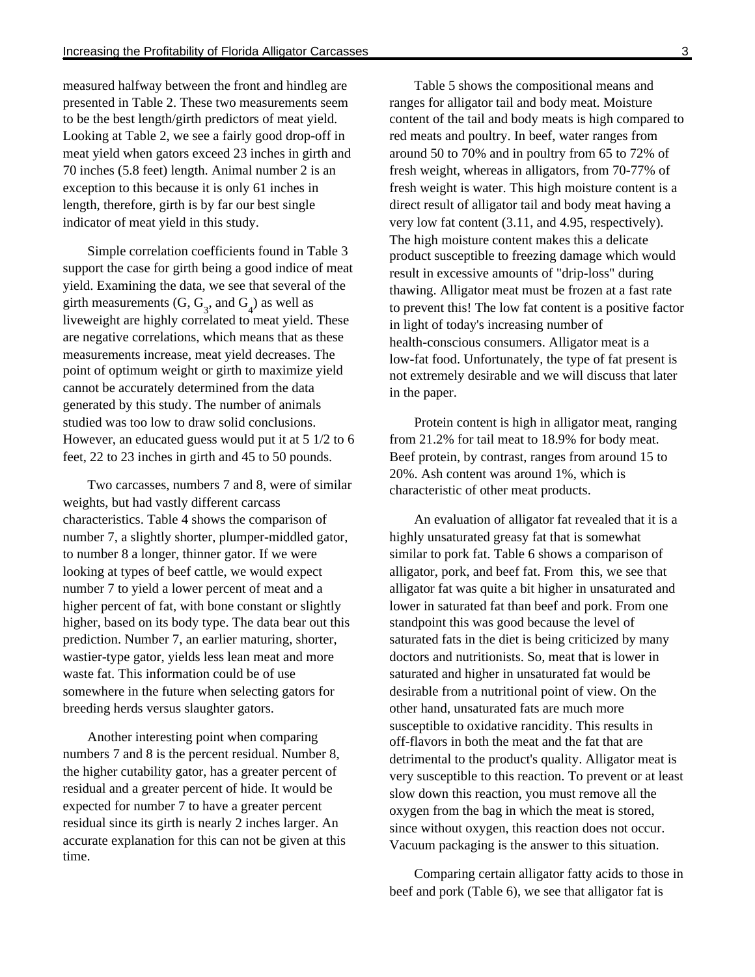measured halfway between the front and hindleg are presented in Table 2. These two measurements seem to be the best length/girth predictors of meat yield. Looking at Table 2, we see a fairly good drop-off in meat yield when gators exceed 23 inches in girth and 70 inches (5.8 feet) length. Animal number 2 is an exception to this because it is only 61 inches in length, therefore, girth is by far our best single indicator of meat yield in this study.

Simple correlation coefficients found in Table 3 support the case for girth being a good indice of meat yield. Examining the data, we see that several of the girth measurements  $(G, G_3, \text{ and } G_4)$  as well as liveweight are highly correlated to meat yield. These are negative correlations, which means that as these measurements increase, meat yield decreases. The point of optimum weight or girth to maximize yield cannot be accurately determined from the data generated by this study. The number of animals studied was too low to draw solid conclusions. However, an educated guess would put it at 5 1/2 to 6 feet, 22 to 23 inches in girth and 45 to 50 pounds.

Two carcasses, numbers 7 and 8, were of similar weights, but had vastly different carcass characteristics. Table 4 shows the comparison of number 7, a slightly shorter, plumper-middled gator, to number 8 a longer, thinner gator. If we were looking at types of beef cattle, we would expect number 7 to yield a lower percent of meat and a higher percent of fat, with bone constant or slightly higher, based on its body type. The data bear out this prediction. Number 7, an earlier maturing, shorter, wastier-type gator, yields less lean meat and more waste fat. This information could be of use somewhere in the future when selecting gators for breeding herds versus slaughter gators.

Another interesting point when comparing numbers 7 and 8 is the percent residual. Number 8, the higher cutability gator, has a greater percent of residual and a greater percent of hide. It would be expected for number 7 to have a greater percent residual since its girth is nearly 2 inches larger. An accurate explanation for this can not be given at this time.

Table 5 shows the compositional means and ranges for alligator tail and body meat. Moisture content of the tail and body meats is high compared to red meats and poultry. In beef, water ranges from around 50 to 70% and in poultry from 65 to 72% of fresh weight, whereas in alligators, from 70-77% of fresh weight is water. This high moisture content is a direct result of alligator tail and body meat having a very low fat content (3.11, and 4.95, respectively). The high moisture content makes this a delicate product susceptible to freezing damage which would result in excessive amounts of "drip-loss" during thawing. Alligator meat must be frozen at a fast rate to prevent this! The low fat content is a positive factor in light of today's increasing number of health-conscious consumers. Alligator meat is a low-fat food. Unfortunately, the type of fat present is not extremely desirable and we will discuss that later in the paper.

Protein content is high in alligator meat, ranging from 21.2% for tail meat to 18.9% for body meat. Beef protein, by contrast, ranges from around 15 to 20%. Ash content was around 1%, which is characteristic of other meat products.

An evaluation of alligator fat revealed that it is a highly unsaturated greasy fat that is somewhat similar to pork fat. Table 6 shows a comparison of alligator, pork, and beef fat. From this, we see that alligator fat was quite a bit higher in unsaturated and lower in saturated fat than beef and pork. From one standpoint this was good because the level of saturated fats in the diet is being criticized by many doctors and nutritionists. So, meat that is lower in saturated and higher in unsaturated fat would be desirable from a nutritional point of view. On the other hand, unsaturated fats are much more susceptible to oxidative rancidity. This results in off-flavors in both the meat and the fat that are detrimental to the product's quality. Alligator meat is very susceptible to this reaction. To prevent or at least slow down this reaction, you must remove all the oxygen from the bag in which the meat is stored, since without oxygen, this reaction does not occur. Vacuum packaging is the answer to this situation.

Comparing certain alligator fatty acids to those in beef and pork (Table 6), we see that alligator fat is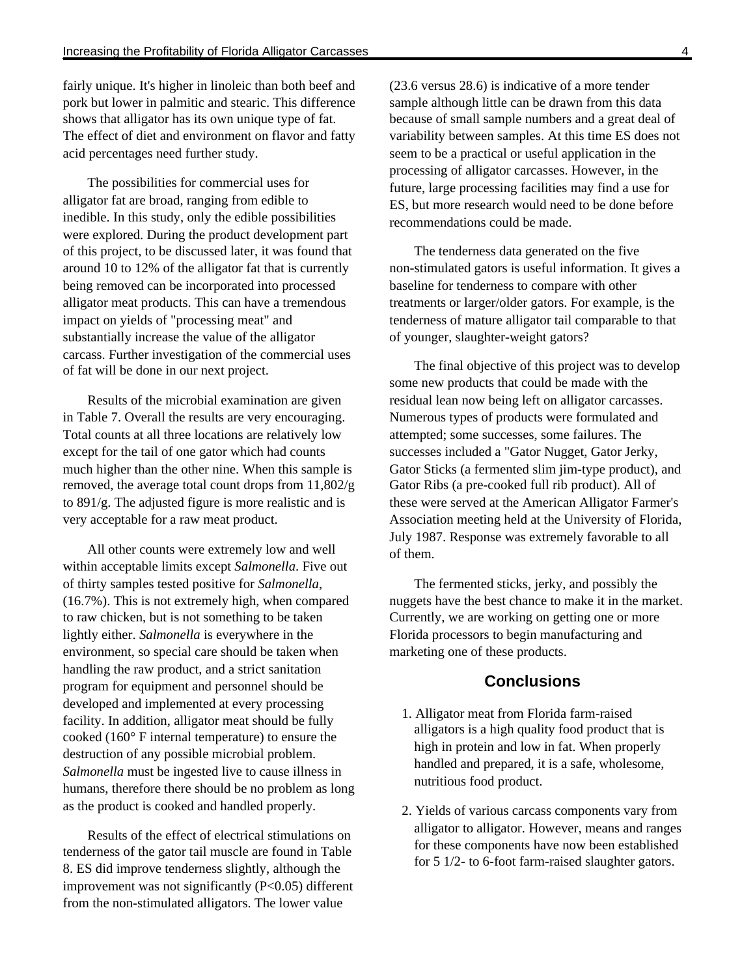fairly unique. It's higher in linoleic than both beef and pork but lower in palmitic and stearic. This difference shows that alligator has its own unique type of fat. The effect of diet and environment on flavor and fatty acid percentages need further study.

The possibilities for commercial uses for alligator fat are broad, ranging from edible to inedible. In this study, only the edible possibilities were explored. During the product development part of this project, to be discussed later, it was found that around 10 to 12% of the alligator fat that is currently being removed can be incorporated into processed alligator meat products. This can have a tremendous impact on yields of "processing meat" and substantially increase the value of the alligator carcass. Further investigation of the commercial uses of fat will be done in our next project.

Results of the microbial examination are given in Table 7. Overall the results are very encouraging. Total counts at all three locations are relatively low except for the tail of one gator which had counts much higher than the other nine. When this sample is removed, the average total count drops from 11,802/g to 891/g. The adjusted figure is more realistic and is very acceptable for a raw meat product.

All other counts were extremely low and well within acceptable limits except *Salmonella*. Five out of thirty samples tested positive for *Salmonella*, (16.7%). This is not extremely high, when compared to raw chicken, but is not something to be taken lightly either. *Salmonella* is everywhere in the environment, so special care should be taken when handling the raw product, and a strict sanitation program for equipment and personnel should be developed and implemented at every processing facility. In addition, alligator meat should be fully cooked (160° F internal temperature) to ensure the destruction of any possible microbial problem. *Salmonella* must be ingested live to cause illness in humans, therefore there should be no problem as long as the product is cooked and handled properly.

Results of the effect of electrical stimulations on tenderness of the gator tail muscle are found in Table 8. ES did improve tenderness slightly, although the improvement was not significantly (P<0.05) different from the non-stimulated alligators. The lower value

(23.6 versus 28.6) is indicative of a more tender sample although little can be drawn from this data because of small sample numbers and a great deal of variability between samples. At this time ES does not seem to be a practical or useful application in the processing of alligator carcasses. However, in the future, large processing facilities may find a use for ES, but more research would need to be done before recommendations could be made.

The tenderness data generated on the five non-stimulated gators is useful information. It gives a baseline for tenderness to compare with other treatments or larger/older gators. For example, is the tenderness of mature alligator tail comparable to that of younger, slaughter-weight gators?

The final objective of this project was to develop some new products that could be made with the residual lean now being left on alligator carcasses. Numerous types of products were formulated and attempted; some successes, some failures. The successes included a "Gator Nugget, Gator Jerky, Gator Sticks (a fermented slim jim-type product), and Gator Ribs (a pre-cooked full rib product). All of these were served at the American Alligator Farmer's Association meeting held at the University of Florida, July 1987. Response was extremely favorable to all of them.

The fermented sticks, jerky, and possibly the nuggets have the best chance to make it in the market. Currently, we are working on getting one or more Florida processors to begin manufacturing and marketing one of these products.

#### **Conclusions**

- 1. Alligator meat from Florida farm-raised alligators is a high quality food product that is high in protein and low in fat. When properly handled and prepared, it is a safe, wholesome, nutritious food product.
- 2. Yields of various carcass components vary from alligator to alligator. However, means and ranges for these components have now been established for 5 1/2- to 6-foot farm-raised slaughter gators.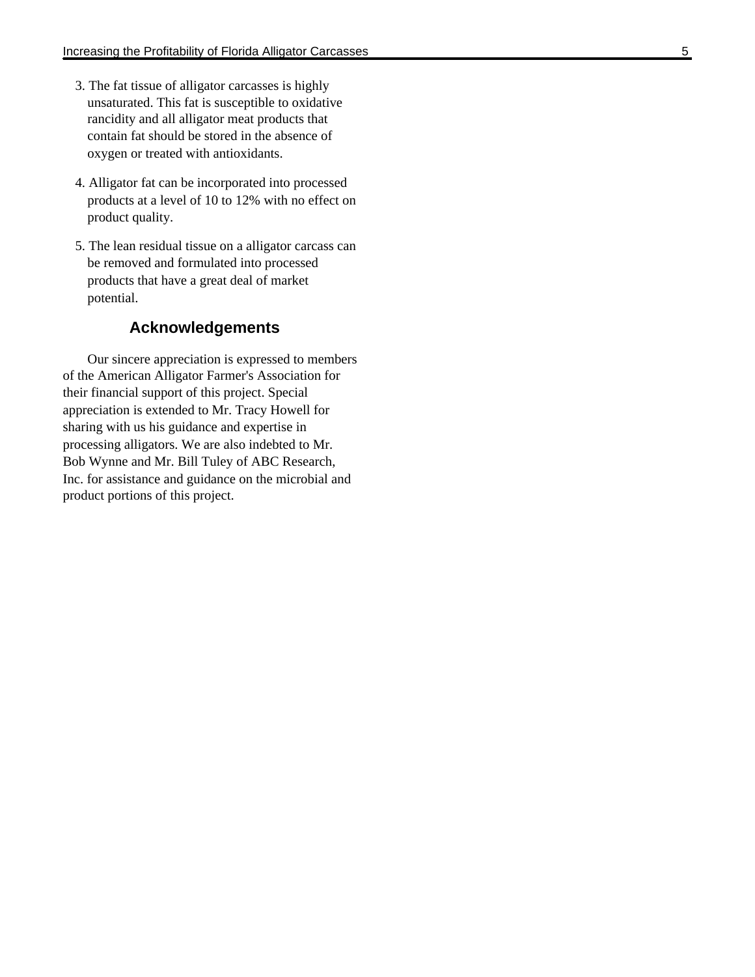- 3. The fat tissue of alligator carcasses is highly unsaturated. This fat is susceptible to oxidative rancidity and all alligator meat products that contain fat should be stored in the absence of oxygen or treated with antioxidants.
- 4. Alligator fat can be incorporated into processed products at a level of 10 to 12% with no effect on product quality.
- 5. The lean residual tissue on a alligator carcass can be removed and formulated into processed products that have a great deal of market potential.

# **Acknowledgements**

Our sincere appreciation is expressed to members of the American Alligator Farmer's Association for their financial support of this project. Special appreciation is extended to Mr. Tracy Howell for sharing with us his guidance and expertise in processing alligators. We are also indebted to Mr. Bob Wynne and Mr. Bill Tuley of ABC Research, Inc. for assistance and guidance on the microbial and product portions of this project.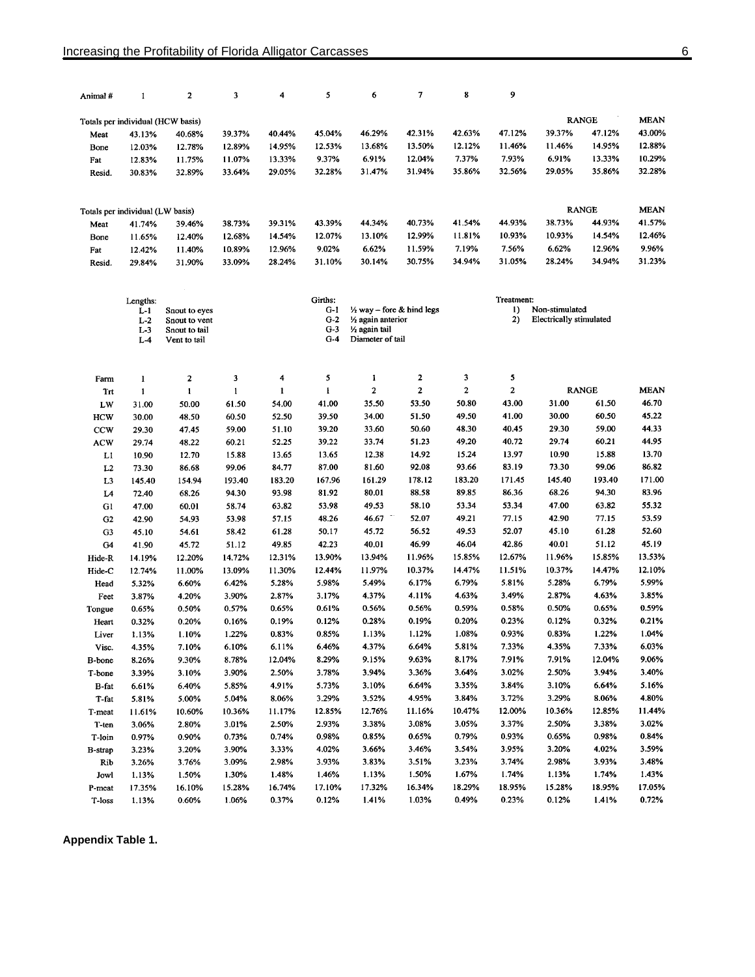| Animal #         | 1                                 | 2                              | 3               | 4               | 5                                              | 6                                    | 7              | 8              | 9                    |                                |                |                |
|------------------|-----------------------------------|--------------------------------|-----------------|-----------------|------------------------------------------------|--------------------------------------|----------------|----------------|----------------------|--------------------------------|----------------|----------------|
|                  | Totals per individual (HCW basis) |                                |                 |                 |                                                |                                      |                |                |                      |                                | <b>RANGE</b>   | <b>MEAN</b>    |
| Meat             | 43.13%                            | 40.68%                         | 39.37%          | 40.44%          | 45.04%                                         | 46.29%                               | 42.31%         | 42.63%         | 47.12%               | 39.37%                         | 47.12%         | 43.00%         |
| Bone             | 12.03%                            | 12.78%                         | 12.89%          | 14.95%          | 12.53%                                         | 13.68%                               | 13.50%         | 12.12%         | 11.46%               | 11.46%                         | 14.95%         | 12.88%         |
| Fat              | 12.83%                            | 11.75%                         | 11.07%          | 13.33%          | 9.37%                                          | 6.91%                                | 12.04%         | 7.37%          | 7.93%                | 6.91%                          | 13.33%         | 10.29%         |
| Resid.           | 30.83%                            | 32.89%                         | 33.64%          | 29.05%          | 32.28%                                         | 31.47%                               | 31.94%         | 35.86%         | 32.56%               | 29.05%                         | 35.86%         | 32.28%         |
|                  | Totals per individual (LW basis)  |                                |                 |                 |                                                |                                      |                |                |                      |                                | <b>RANGE</b>   | <b>MEAN</b>    |
| Meat             | 41.74%                            | 39.46%                         | 38.73%          | 39.31%          | 43.39%                                         | 44.34%                               | 40.73%         | 41.54%         | 44.93%               | 38.73%                         | 44.93%         | 41.57%         |
| Bone             | 11.65%                            | 12.40%                         | 12.68%          | 14.54%          | 12.07%                                         | 13.10%                               | 12.99%         | 11.81%         | 10.93%               | 10.93%                         | 14.54%         | 12.46%         |
| Fat              | 12.42%                            | 11.40%                         | 10.89%          | 12.96%          | 9.02%                                          | 6.62%                                | 11.59%         | 7.19%          | 7.56%                | 6.62%                          | 12.96%         | 9.96%          |
| Resid.           | 29.84%                            | 31.90%                         | 33.09%          | 28.24%          | 31.10%                                         | 30.14%                               | 30.75%         | 34.94%         | 31.05%               | 28.24%                         | 34.94%         | 31.23%         |
|                  |                                   |                                |                 |                 |                                                |                                      |                |                |                      |                                |                |                |
|                  | Lengths:<br>$L-1$                 |                                |                 |                 | Girths:<br>G-1                                 | $\frac{1}{2}$ way – fore & hind legs |                |                | Treatment:<br>$_{1}$ | Non-stimulated                 |                |                |
|                  | $L-2$                             | Snout to eyes<br>Snout to vent |                 |                 | $G-2$                                          | 1/2 again anterior                   |                |                | 2)                   | <b>Electrically stimulated</b> |                |                |
|                  | $L-3$                             | Snout to tail                  |                 |                 | $G-3$                                          | 1/ <sub>2</sub> again tail           |                |                |                      |                                |                |                |
|                  | $L-4$                             | Vent to tail                   |                 |                 | $G-4$                                          | Diameter of tail                     |                |                |                      |                                |                |                |
| Farm             | 1                                 | $\mathbf{2}$                   | 3               | 4               | 5                                              | 1                                    | 2              | 3              | 5                    |                                |                |                |
| Trt              | $\mathbf{1}$                      | $\mathbf 1$                    | $\mathbf{1}$    | 1               | $\mathbf{I}% _{t}\left  \mathbf{I}_{t}\right $ | $\mathbf 2$                          | $\mathbf{2}$   | $\overline{c}$ | $\boldsymbol{2}$     |                                | <b>RANGE</b>   | <b>MEAN</b>    |
| LW               | 31.00                             | 50.00                          | 61.50           | 54.00           | 41.00                                          | 35.50                                | 53.50          | 50.80          | 43.00                | 31.00                          | 61.50          | 46.70          |
| <b>HCW</b>       | 30.00                             | 48.50                          | 60.50           | 52.50           | 39.50                                          | 34.00                                | 51.50          | 49.50          | 41.00                | 30.00                          | 60.50          | 45.22          |
| <b>CCW</b>       | 29.30                             | 47.45                          | 59.00           | 51.10           | 39.20                                          | 33.60                                | 50.60          | 48.30          | 40.45                | 29.30                          | 59.00          | 44.33          |
| <b>ACW</b>       | 29.74                             | 48.22                          | 60.21           | 52.25           | 39.22                                          | 33.74                                | 51.23          | 49.20          | 40.72                | 29.74                          | 60.21          | 44.95          |
| LI               | 10.90                             | 12.70                          | 15.88           | 13.65           | 13.65                                          | 12.38                                | 14.92          | 15.24          | 13.97                | 10.90                          | 15.88          | 13.70          |
| L2               | 73.30                             | 86.68                          | 99.06           | 84.77           | 87.00                                          | 81.60                                | 92.08          | 93.66          | 83.19                | 73.30                          | 99.06          | 86.82          |
| L3               | 145.40                            | 154.94                         | 193.40          | 183.20          | 167.96                                         | 161.29                               | 178.12         | 183.20         | 171.45               | 145.40                         | 193.40         | 171.00         |
| L4               | 72.40                             | 68.26                          | 94.30           | 93.98           | 81.92                                          | 80.01                                | 88.58          | 89.85          | 86.36                | 68.26                          | 94.30          | 83.96          |
| Gl               | 47.00                             | 60.01                          | 58.74           | 63.82           | 53.98                                          | 49.53                                | 58.10          | 53.34          | 53.34                | 47.00                          | 63.82          | 55.32          |
| G2               | 42.90                             | 54.93                          | 53.98           | 57.15           | 48.26                                          | 46.67                                | 52.07          | 49.21          | 77.15                | 42.90                          | 77.15          | 53.59          |
| G <sub>3</sub>   | 45.10                             | 54.61                          | 58.42           | 61.28           | 50.17                                          | 45.72                                | 56.52          | 49.53          | 52.07                | 45.10                          | 61.28          | 52.60          |
| G4               | 41.90                             | 45.72                          | 51.12           | 49.85           | 42.23                                          | 40.01                                | 46.99          | 46.04          | 42.86                | 40.01                          | 51.12          | 45.19          |
| Hide-R           | 14.19%                            | 12.20%                         | 14.72%          | 12.31%          | 13.90%                                         | 13.94%                               | 11.96%         | 15.85%         | 12.67%               | 11.96%                         | 15.85%         | 13.53%         |
| Hide-C           | 12.74%                            | 11.00%                         | 13.09%          | 11.30%          | 12.44%                                         | 11.97%                               | 10.37%         | 14.47%         | 11.51%               | 10.37%                         | 14.47%         | 12.10%         |
| Head             | 5.32%                             | 6.60%                          | 6.42%           | 5.28%           | 5.98%                                          | 5.49%                                | 6.17%          | 6.79%          | 5.81%                | 5.28%                          | 6.79%          | 5.99%          |
| Feet             | 3.87%                             | 4.20%                          | 3.90%           | 2.87%           | 3.17%                                          | 4.37%                                | 4.11%          | 4.63%          | 3.49%                | 2.87%                          | 4.63%          | 3.85%          |
| Tongue           | 0.65%                             | 0.50%                          | 0.57%           | 0.65%           | 0.61%                                          | 0.56%                                | 0.56%          | 0.59%          | 0.58%                | 0.50%                          | 0.65%          | 0.59%          |
| Heart            | 0.32%                             | 0.20%                          | 0.16%           | 0.19%           | 0.12%                                          | 0.28%                                | 0.19%          | 0.20%          | 0.23%                | 0.12%                          | 0.32%          | 0.21%          |
| Liver            | 1.13%                             | 1.10%                          | 1.22%           | 0.83%           | 0.85%                                          | 1.13%                                | 1.12%          | 1.08%          | 0.93%                | 0.83%                          | 1.22%          | 1.04%          |
| Visc.            | 4.35%                             | 7.10%                          | 6.10%           | 6.11%           | 6.46%                                          | 4.37%                                | 6.64%          | 5.81%          | 7.33%                | 4.35%                          | 7.33%          | 6.03%          |
| B-bone           | 8.26%                             | 9.30%                          | 8.78%           | 12.04%          | 8.29%                                          | 9.15%                                | 9.63%          | 8.17%          | 7.91%                | 7.91%                          | 12.04%         | 9.06%          |
| T-bone           | 3.39%                             | 3.10%                          | 3.90%           | 2.50%           | 3.78%                                          | 3.94%                                | 3.36%          | 3.64%          | 3.02%                | 2.50%                          | 3.94%          | 3.40%          |
| B-fat            | 6.61%                             | 6.40%                          | 5.85%           | 4.91%           | 5.73%                                          | 3.10%                                | 6.64%          | 3.35%          | 3.84%                | 3.10%                          | 6.64%          | 5.16%          |
| T-fat            | 5.81%                             | 5.00%                          | 5.04%           | 8.06%           | 3.29%                                          | 3.52%                                | 4.95%          | 3.84%          | 3.72%                | 3.29%                          | 8.06%          | 4.80%          |
| T-meat           | 11.61%                            | 10.60%                         | 10.36%          | 11.17%          | 12.85%                                         | 12.76%                               | 11.16%         | 10.47%         | 12.00%               | 10.36%                         | 12.85%         | 11.44%         |
| T-ten            | 3.06%                             | 2.80%                          | 3.01%           | 2.50%           | 2.93%                                          | 3.38%                                | 3.08%          | 3.05%          | 3.37%                | 2.50%                          | 3.38%          | 3.02%          |
| T-loin           | 0.97%                             | 0.90%                          | 0.73%           | 0.74%           | 0.98%                                          | 0.85%                                | 0.65%          | 0.79%          | 0.93%                | 0.65%                          | 0.98%          | 0.84%          |
| <b>B-strap</b>   | 3.23%                             | 3.20%                          | 3.90%           | 3.33%           | 4.02%                                          | 3.66%                                | 3.46%          | 3.54%          | 3.95%                | 3.20%                          | 4.02%          | 3.59%          |
| Rib              | 3.26%                             | 3.76%                          | 3.09%           | 2.98%           | 3.93%                                          | 3.83%                                | 3.51%<br>1.50% | 3.23%<br>1.67% | 3.74%<br>1.74%       | 2.98%<br>1.13%                 | 3.93%<br>1.74% | 3.48%<br>1.43% |
| Jowl             | 1.13%<br>17.35%                   | 1.50%<br>16.10%                | 1.30%<br>15.28% | 1.48%<br>16.74% | 1.46%<br>17.10%                                | 1.13%<br>17.32%                      | 16.34%         | 18.29%         | 18.95%               | 15.28%                         | 18.95%         | 17.05%         |
| P-meat<br>T-loss | 1.13%                             | 0.60%                          | 1.06%           | 0.37%           | 0.12%                                          | 1.41%                                | 1.03%          | 0.49%          | 0.23%                | 0.12%                          | 1.41%          | 0.72%          |
|                  |                                   |                                |                 |                 |                                                |                                      |                |                |                      |                                |                |                |

**Appendix Table 1.**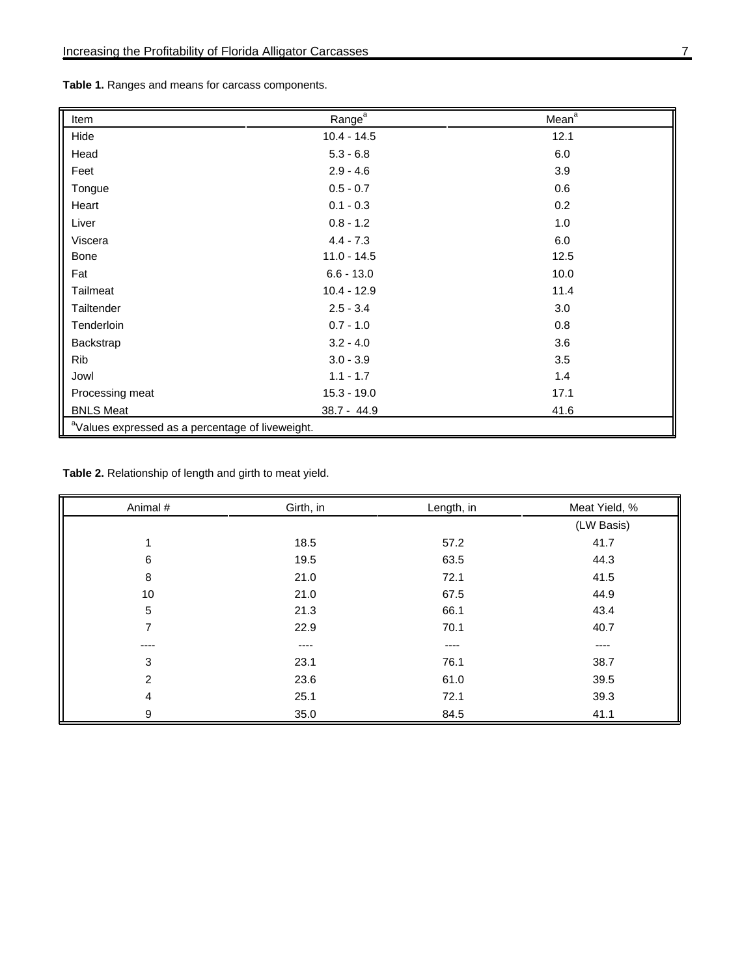| Table 1. Ranges and means for carcass components. |  |  |
|---------------------------------------------------|--|--|
|---------------------------------------------------|--|--|

| Item                                                         | Range <sup>a</sup> | Mean <sup>a</sup> |  |  |  |
|--------------------------------------------------------------|--------------------|-------------------|--|--|--|
| Hide                                                         | $10.4 - 14.5$      | 12.1              |  |  |  |
| Head                                                         | $5.3 - 6.8$        | 6.0               |  |  |  |
| Feet                                                         | $2.9 - 4.6$        | 3.9               |  |  |  |
| Tongue                                                       | $0.5 - 0.7$        | 0.6               |  |  |  |
| Heart                                                        | $0.1 - 0.3$        | 0.2               |  |  |  |
| Liver                                                        | $0.8 - 1.2$        | 1.0               |  |  |  |
| Viscera                                                      | $4.4 - 7.3$        | 6.0               |  |  |  |
| Bone                                                         | $11.0 - 14.5$      | 12.5              |  |  |  |
| Fat                                                          | $6.6 - 13.0$       | 10.0              |  |  |  |
| Tailmeat                                                     | $10.4 - 12.9$      | 11.4              |  |  |  |
| Tailtender                                                   | $2.5 - 3.4$        | 3.0               |  |  |  |
| Tenderloin                                                   | $0.7 - 1.0$        | 0.8               |  |  |  |
| Backstrap                                                    | $3.2 - 4.0$        | 3.6               |  |  |  |
| <b>Rib</b>                                                   | $3.0 - 3.9$        | 3.5               |  |  |  |
| Jowl                                                         | $1.1 - 1.7$        | 1.4               |  |  |  |
| Processing meat                                              | $15.3 - 19.0$      | 17.1              |  |  |  |
| <b>BNLS Meat</b>                                             | $38.7 - 44.9$      | 41.6              |  |  |  |
| <sup>a</sup> Values expressed as a percentage of liveweight. |                    |                   |  |  |  |

**Table 2.** Relationship of length and girth to meat yield.

| Animal # | Girth, in | Length, in | Meat Yield, % |
|----------|-----------|------------|---------------|
|          |           |            | (LW Basis)    |
| 1        | 18.5      | 57.2       | 41.7          |
| 6        | 19.5      | 63.5       | 44.3          |
| 8        | 21.0      | 72.1       | 41.5          |
| 10       | 21.0      | 67.5       | 44.9          |
| 5        | 21.3      | 66.1       | 43.4          |
| 7        | 22.9      | 70.1       | 40.7          |
| ----     | $---$     | $---$      | ----          |
| 3        | 23.1      | 76.1       | 38.7          |
| 2        | 23.6      | 61.0       | 39.5          |
| 4        | 25.1      | 72.1       | 39.3          |
| 9        | 35.0      | 84.5       | 41.1          |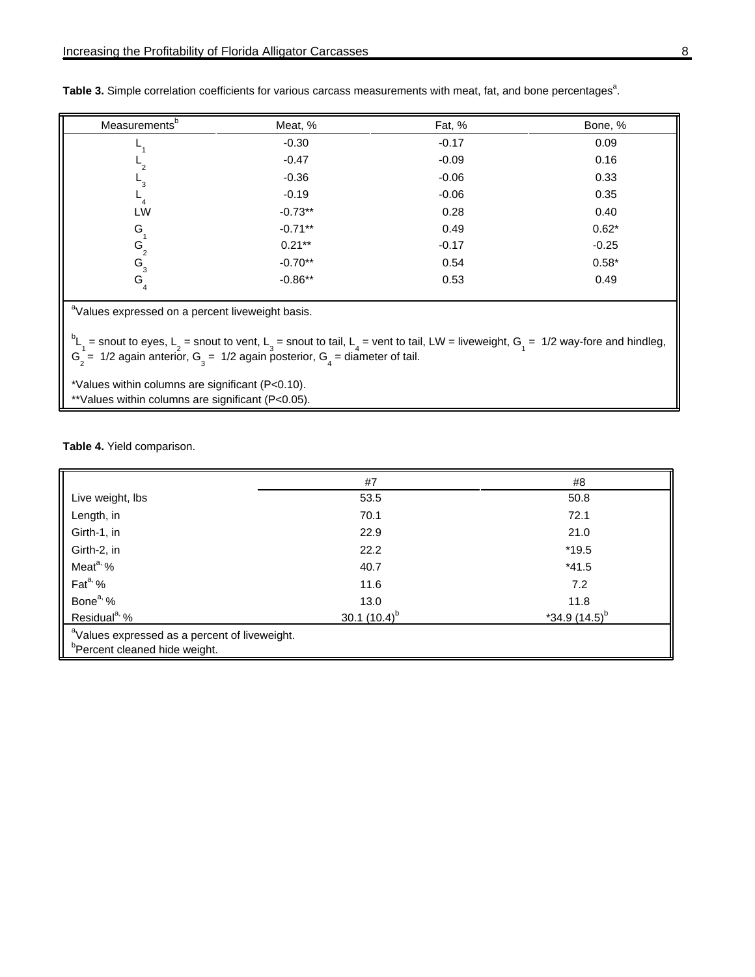| Measurements <sup>b</sup> | Meat, %   | Fat, %  | Bone, % |
|---------------------------|-----------|---------|---------|
|                           | $-0.30$   | $-0.17$ | 0.09    |
| $-2$                      | $-0.47$   | $-0.09$ | 0.16    |
| ٦3                        | $-0.36$   | $-0.06$ | 0.33    |
|                           | $-0.19$   | $-0.06$ | 0.35    |
| LW                        | $-0.73**$ | 0.28    | 0.40    |
| G                         | $-0.71**$ | 0.49    | $0.62*$ |
| $G_{2}$                   | $0.21***$ | $-0.17$ | $-0.25$ |
| $G_{3}$                   | $-0.70**$ | 0.54    | $0.58*$ |
| $G_4$                     | $-0.86**$ | 0.53    | 0.49    |
|                           |           |         |         |

Table 3. Simple correlation coefficients for various carcass measurements with meat, fat, and bone percentages<sup>a</sup>.

<sup>a</sup>Values expressed on a percent liveweight basis.

 $b_{\text{L}_1}$  = snout to eyes, L<sub>2</sub> = snout to vent, L<sub>3</sub> = snout to tail, L<sub>4</sub> = vent to tail, LW = liveweight, G<sub>1</sub> = 1/2 way-fore and hindleg,  $G_2 = 1/2$  again anterior,  $G_3 = 1/2$  again posterior,  $G_4 =$  diameter of tail.

\*Values within columns are significant (P<0.10).

\*\*Values within columns are significant (P<0.05).

**Table 4.** Yield comparison.

|                                                                                                        | #7               | #8                          |
|--------------------------------------------------------------------------------------------------------|------------------|-----------------------------|
| Live weight, lbs                                                                                       | 53.5             | 50.8                        |
| Length, in                                                                                             | 70.1             | 72.1                        |
| Girth-1, in                                                                                            | 22.9             | 21.0                        |
| Girth-2, in                                                                                            | 22.2             | $*19.5$                     |
| Meat <sup>a, o</sup> %                                                                                 | 40.7             | $*41.5$                     |
| Fat <sup>a, %</sup>                                                                                    | 11.6             | 7.2                         |
| Bone <sup>a, %</sup>                                                                                   | 13.0             | 11.8                        |
| Residual <sup>a, %</sup>                                                                               | $30.1(10.4)^{b}$ | $*34.9$ (14.5) <sup>b</sup> |
| <sup>a</sup> Values expressed as a percent of liveweight.<br><sup>b</sup> Percent cleaned hide weight. |                  |                             |